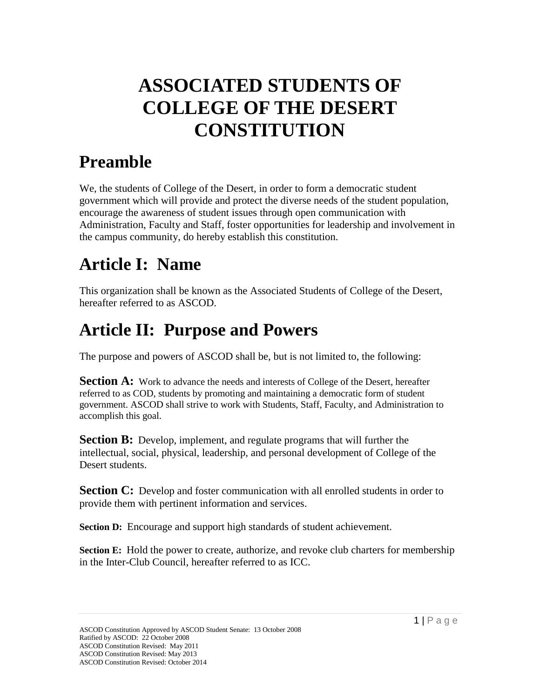# **ASSOCIATED STUDENTS OF COLLEGE OF THE DESERT CONSTITUTION**

## **Preamble**

We, the students of College of the Desert, in order to form a democratic student government which will provide and protect the diverse needs of the student population, encourage the awareness of student issues through open communication with Administration, Faculty and Staff, foster opportunities for leadership and involvement in the campus community, do hereby establish this constitution.

## **Article I: Name**

This organization shall be known as the Associated Students of College of the Desert, hereafter referred to as ASCOD.

## **Article II: Purpose and Powers**

The purpose and powers of ASCOD shall be, but is not limited to, the following:

**Section A:** Work to advance the needs and interests of College of the Desert, hereafter referred to as COD, students by promoting and maintaining a democratic form of student government. ASCOD shall strive to work with Students, Staff, Faculty, and Administration to accomplish this goal.

**Section B:** Develop, implement, and regulate programs that will further the intellectual, social, physical, leadership, and personal development of College of the Desert students.

**Section C:** Develop and foster communication with all enrolled students in order to provide them with pertinent information and services.

**Section D:** Encourage and support high standards of student achievement.

**Section E:** Hold the power to create, authorize, and revoke club charters for membership in the Inter-Club Council, hereafter referred to as ICC.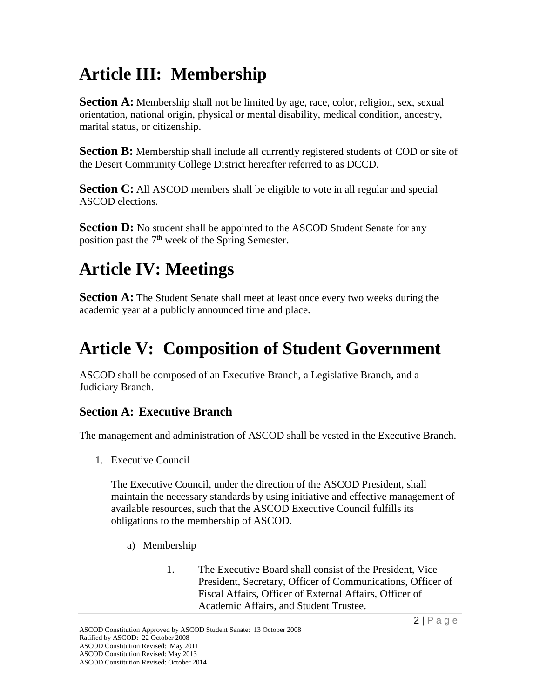## **Article III: Membership**

**Section A:** Membership shall not be limited by age, race, color, religion, sex, sexual orientation, national origin, physical or mental disability, medical condition, ancestry, marital status, or citizenship.

**Section B:** Membership shall include all currently registered students of COD or site of the Desert Community College District hereafter referred to as DCCD.

**Section C:** All ASCOD members shall be eligible to vote in all regular and special ASCOD elections.

**Section D:** No student shall be appointed to the ASCOD Student Senate for any position past the  $7<sup>th</sup>$  week of the Spring Semester.

# **Article IV: Meetings**

**Section A:** The Student Senate shall meet at least once every two weeks during the academic year at a publicly announced time and place.

## **Article V: Composition of Student Government**

ASCOD shall be composed of an Executive Branch, a Legislative Branch, and a Judiciary Branch.

### **Section A: Executive Branch**

The management and administration of ASCOD shall be vested in the Executive Branch.

1. Executive Council

The Executive Council, under the direction of the ASCOD President, shall maintain the necessary standards by using initiative and effective management of available resources, such that the ASCOD Executive Council fulfills its obligations to the membership of ASCOD.

- a) Membership
	- 1. The Executive Board shall consist of the President, Vice President, Secretary, Officer of Communications, Officer of Fiscal Affairs, Officer of External Affairs, Officer of Academic Affairs, and Student Trustee.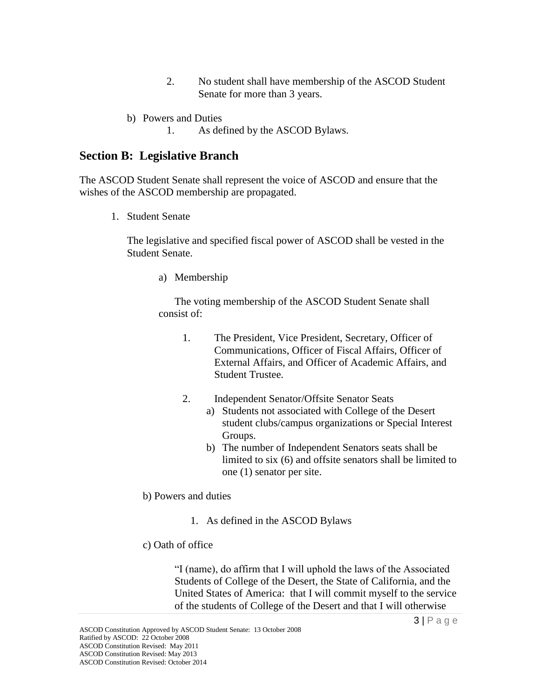- 2. No student shall have membership of the ASCOD Student Senate for more than 3 years.
- b) Powers and Duties
	- 1. As defined by the ASCOD Bylaws.

#### **Section B: Legislative Branch**

The ASCOD Student Senate shall represent the voice of ASCOD and ensure that the wishes of the ASCOD membership are propagated.

1. Student Senate

The legislative and specified fiscal power of ASCOD shall be vested in the Student Senate.

a) Membership

The voting membership of the ASCOD Student Senate shall consist of:

- 1. The President, Vice President, Secretary, Officer of Communications, Officer of Fiscal Affairs, Officer of External Affairs, and Officer of Academic Affairs, and Student Trustee.
- 2. Independent Senator/Offsite Senator Seats
	- a) Students not associated with College of the Desert student clubs/campus organizations or Special Interest Groups.
	- b) The number of Independent Senators seats shall be limited to six (6) and offsite senators shall be limited to one (1) senator per site.

b) Powers and duties

- 1. As defined in the ASCOD Bylaws
- c) Oath of office

"I (name), do affirm that I will uphold the laws of the Associated Students of College of the Desert, the State of California, and the United States of America: that I will commit myself to the service of the students of College of the Desert and that I will otherwise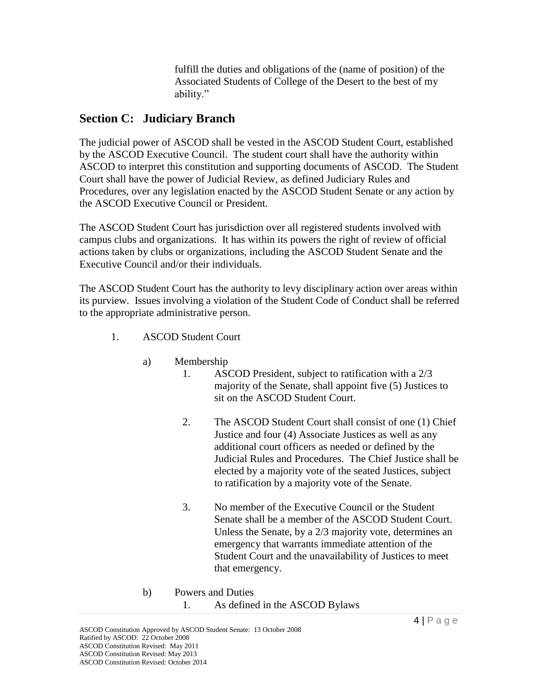fulfill the duties and obligations of the (name of position) of the Associated Students of College of the Desert to the best of my ability."

#### **Section C: Judiciary Branch**

The judicial power of ASCOD shall be vested in the ASCOD Student Court, established by the ASCOD Executive Council. The student court shall have the authority within ASCOD to interpret this constitution and supporting documents of ASCOD. The Student Court shall have the power of Judicial Review, as defined Judiciary Rules and Procedures, over any legislation enacted by the ASCOD Student Senate or any action by the ASCOD Executive Council or President.

The ASCOD Student Court has jurisdiction over all registered students involved with campus clubs and organizations. It has within its powers the right of review of official actions taken by clubs or organizations, including the ASCOD Student Senate and the Executive Council and/or their individuals.

The ASCOD Student Court has the authority to levy disciplinary action over areas within its purview. Issues involving a violation of the Student Code of Conduct shall be referred to the appropriate administrative person.

- 1. ASCOD Student Court
	- a) Membership
		- 1. ASCOD President, subject to ratification with a 2/3 majority of the Senate, shall appoint five (5) Justices to sit on the ASCOD Student Court.
		- 2. The ASCOD Student Court shall consist of one (1) Chief Justice and four (4) Associate Justices as well as any additional court officers as needed or defined by the Judicial Rules and Procedures. The Chief Justice shall be elected by a majority vote of the seated Justices, subject to ratification by a majority vote of the Senate.
		- 3. No member of the Executive Council or the Student Senate shall be a member of the ASCOD Student Court. Unless the Senate, by a 2/3 majority vote, determines an emergency that warrants immediate attention of the Student Court and the unavailability of Justices to meet that emergency.
	- b) Powers and Duties 1. As defined in the ASCOD Bylaws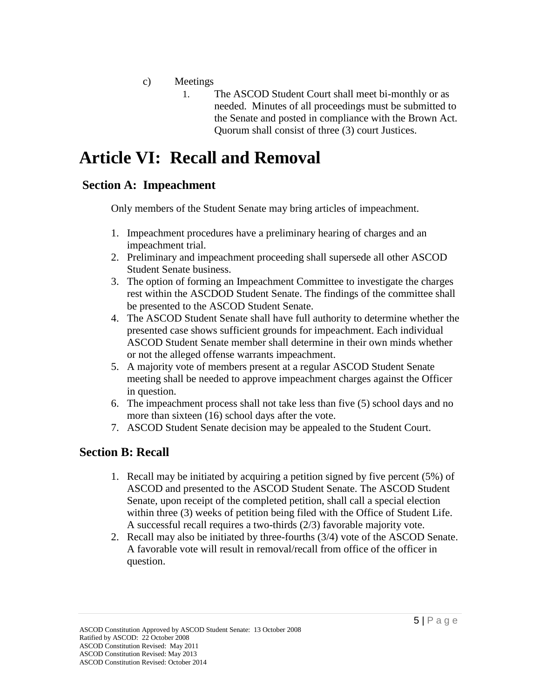- c) Meetings
	- 1. The ASCOD Student Court shall meet bi-monthly or as needed. Minutes of all proceedings must be submitted to the Senate and posted in compliance with the Brown Act. Quorum shall consist of three (3) court Justices.

### **Article VI: Recall and Removal**

#### **Section A: Impeachment**

Only members of the Student Senate may bring articles of impeachment.

- 1. Impeachment procedures have a preliminary hearing of charges and an impeachment trial.
- 2. Preliminary and impeachment proceeding shall supersede all other ASCOD Student Senate business.
- 3. The option of forming an Impeachment Committee to investigate the charges rest within the ASCDOD Student Senate. The findings of the committee shall be presented to the ASCOD Student Senate.
- 4. The ASCOD Student Senate shall have full authority to determine whether the presented case shows sufficient grounds for impeachment. Each individual ASCOD Student Senate member shall determine in their own minds whether or not the alleged offense warrants impeachment.
- 5. A majority vote of members present at a regular ASCOD Student Senate meeting shall be needed to approve impeachment charges against the Officer in question.
- 6. The impeachment process shall not take less than five (5) school days and no more than sixteen (16) school days after the vote.
- 7. ASCOD Student Senate decision may be appealed to the Student Court.

#### **Section B: Recall**

- 1. Recall may be initiated by acquiring a petition signed by five percent (5%) of ASCOD and presented to the ASCOD Student Senate. The ASCOD Student Senate, upon receipt of the completed petition, shall call a special election within three (3) weeks of petition being filed with the Office of Student Life. A successful recall requires a two-thirds (2/3) favorable majority vote.
- 2. Recall may also be initiated by three-fourths (3/4) vote of the ASCOD Senate. A favorable vote will result in removal/recall from office of the officer in question.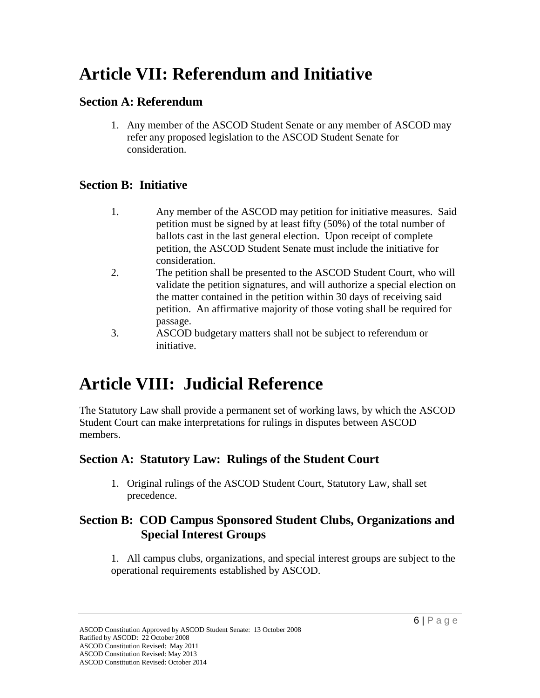### **Article VII: Referendum and Initiative**

### **Section A: Referendum**

1. Any member of the ASCOD Student Senate or any member of ASCOD may refer any proposed legislation to the ASCOD Student Senate for consideration.

#### **Section B: Initiative**

- 1. Any member of the ASCOD may petition for initiative measures. Said petition must be signed by at least fifty (50%) of the total number of ballots cast in the last general election. Upon receipt of complete petition, the ASCOD Student Senate must include the initiative for consideration.
- 2. The petition shall be presented to the ASCOD Student Court, who will validate the petition signatures, and will authorize a special election on the matter contained in the petition within 30 days of receiving said petition. An affirmative majority of those voting shall be required for passage.
- 3. ASCOD budgetary matters shall not be subject to referendum or initiative.

## **Article VIII: Judicial Reference**

The Statutory Law shall provide a permanent set of working laws, by which the ASCOD Student Court can make interpretations for rulings in disputes between ASCOD members.

#### **Section A: Statutory Law: Rulings of the Student Court**

1. Original rulings of the ASCOD Student Court, Statutory Law, shall set precedence.

#### **Section B: COD Campus Sponsored Student Clubs, Organizations and Special Interest Groups**

1. All campus clubs, organizations, and special interest groups are subject to the operational requirements established by ASCOD.